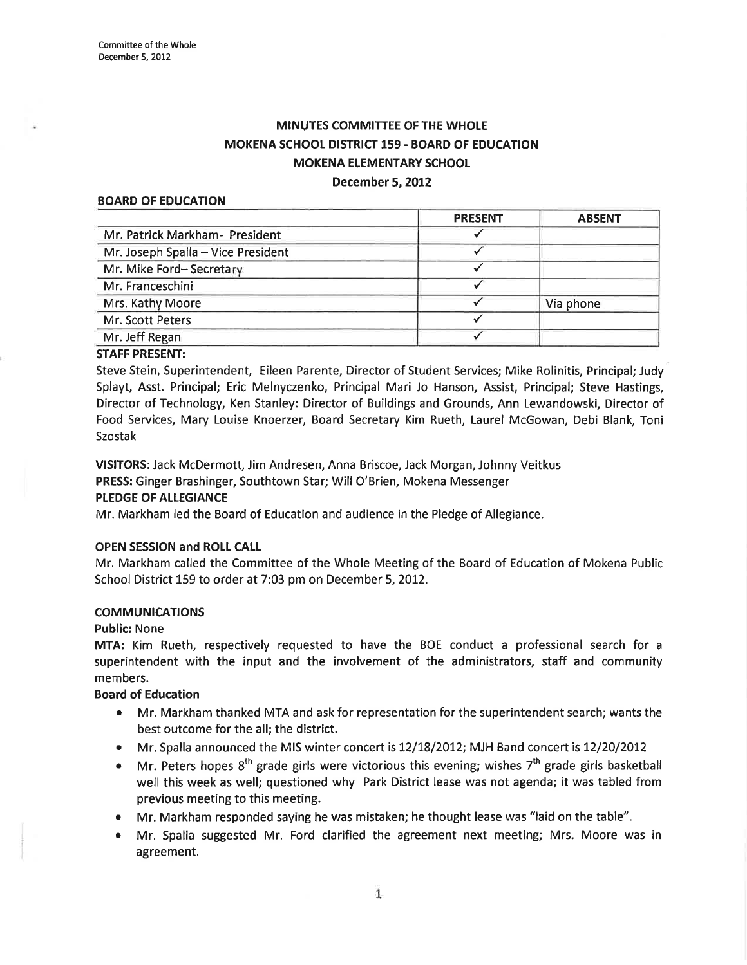# MINUTES COMMITTEE OF THE WHOLE MOKENA SCHOOL DISTRICT 159 - BOARD OF EDUCATION MOKENA EIEMENTARY SCHOOL December 5,2012

#### BOARD OF EDUCATION

|                                    | <b>PRESENT</b> | <b>ABSENT</b> |
|------------------------------------|----------------|---------------|
| Mr. Patrick Markham- President     |                |               |
| Mr. Joseph Spalla - Vice President |                |               |
| Mr. Mike Ford-Secretary            |                |               |
| Mr. Franceschini                   |                |               |
| Mrs. Kathy Moore                   |                | Via phone     |
| Mr. Scott Peters                   |                |               |
| Mr. Jeff Regan                     |                |               |

#### STAFF PRESENT:

Steve Stein, Superintendent, Eileen Parente, Director of Student Services; Mike Rolínitis, Principal; Judy Splayt, Asst. Principal; Eric Melnyczenko, Principal Mari Jo Hanson, Assist, Principal; Steve Hastings, Director of Technology, Ken Stanley: Director of Buildings and Grounds, Ann Lewandowski, Director of Food Seruices, Mary Louise Knoerzer, Board Secretary Kim Rueth, Laurel McGowan, Debi Blank, Toni Szostak

VISITORS: Jack McDermott, Jim Andresen, Anna Briscoe, Jack Morgan, Johnny Veitkus

PRESS: Ginger Brashinger, Southtown Star; Will O'Brien, Mokena Messenger

### PLEDGE OF ALLEGIANCE

Mr. Markham led the Board of Education and audience in the Pledge of Allegiance.

#### OPEN SESSION and ROLL CAIL

Mr. Markham called the Committee of the Whole Meeting of the Board of Education of Mokena Public School District 159 to order at 7:03 pm on December 5, 2012.

### **COMMUNICATIONS**

#### Public: None

MTA: Kim Rueth, respectively requested to have the BOE conduct a professional search for <sup>a</sup> superintendent with the input and the involvement of the administrators, staff and community members.

#### Board of Education

- ¡ Mr. Markham thanked MTA and ask for representation for the superintendent search; wants the best outcome for the all; the district.
- Mr. Spalla announced the MIS winter concert is 12/18/2012; MJH Band concert is 12/20/2012
- $\bullet$  Mr. Peters hopes 8<sup>th</sup> grade girls were victorious this evening; wishes 7<sup>th</sup> grade girls basketball well this week as well; questioned why Park District lease was not agenda; it was tabled from previous meeting to this meeting.
- Mr. Markham responded saying he was mistaken; he thought lease was "laid on the table".
- Mr. Spalla suggested Mr. Ford clarified the agreement next meeting; Mrs. Moore was in agreement.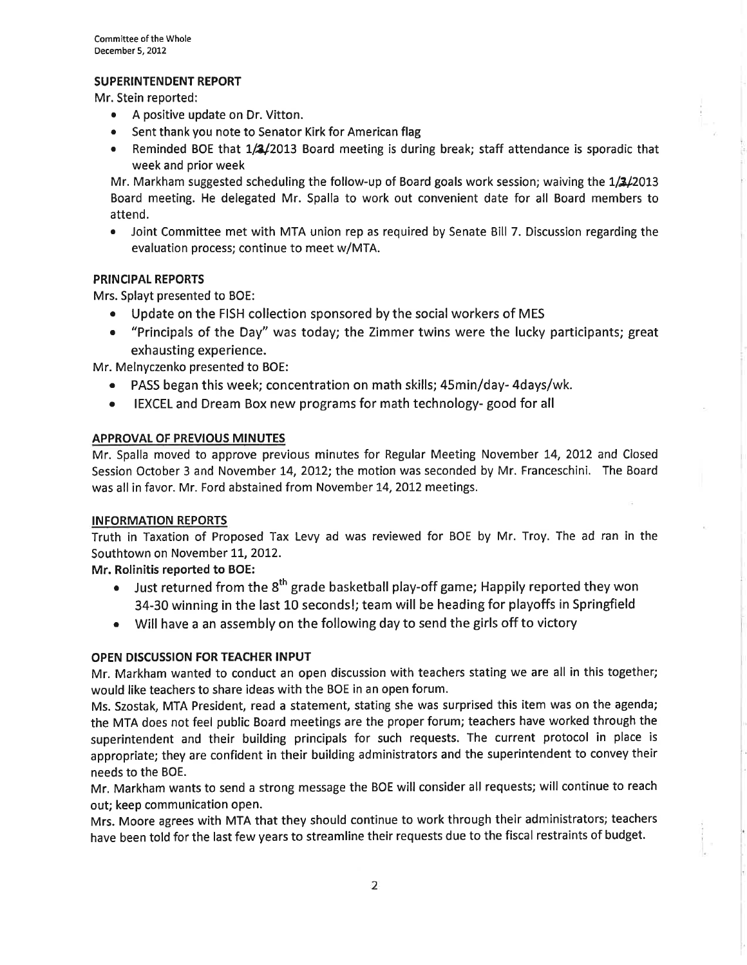### SUPERINTENDENT REPORT

Mr. Stein reported:

- . A positive update on Dr. Vitton.
- Sent thank you note to Senator Kirk for American flag
- Reminded BOE that 1/2/2013 Board meeting is during break; staff attendance is sporadic that week and prior week

Mr. Markham suggested scheduling the follow-up of Board goals work session; waiving the 1/3/2013 Board meeting. He delegated Mr. Spalla to work out convenient date for all Board members to attend.

Joint Committee met with MTA union rep as required by Senate Bill 7. Discussion regarding the evaluation process; continue to meet w/MTA.

### PRINCIPAL REPORTS

Mrs. Splayt presented to BOE:

- Update on the FISH collection sponsored by the social workers of MES
- "Principals of the Day" was today; the Zimmer twins were the lucky participants; great exhausting experience.

Mr. Melnyczenko presented to BOE:

- o PASS began this week; concentration on math skills; 45min/day- 4days/wk.
- o IEXCEL and Dream Box new programs for math technology- good for all

#### APPROVAL OF PREVIOUS MINUTES

Mr. Spalla moved to approve previous minutes for Regular Meeting November L4, 2OI2 and Closed Session October 3 and November 14, 2012; fhe motion was seconded by Mr. Franceschini. The Board was all in favor. Mr. Ford abstained from November L4,2012 meetings.

#### INFORMATION REPORTS

Truth in Taxation of Proposed Tax Levy ad was reviewed for BOE by Mr. Troy. The ad ran in the Southtown on November 11, 2012.

Mr. Rolinitis reported to BOE:

- $\bullet$  Just returned from the 8<sup>th</sup> grade basketball play-off game; Happily reported they won 34-30 winning in the last 10 seconds!; team will be heading for playoffs in Springfield
- . Will have a an assembly on the following day to send the girls off to victory

### OPEN DISCUSSION FOR TEACHER INPUT

Mr. Markham wanted to conduct an open discussion with teachers stating we are all in this together:; would like teachers to share ideas with the BOE in an open forum.

Ms. Szostak, MTA President, read a statement, stating she was surprised this item was on the agenda; the MTA does not feel public Board meetings are the proper forum; teachers have worked through the superintendent and their building principals for such requests. The current protocol in place is appropriate; they are confident in their building administrators and the superintendent to convey their needs to the BOE.

Mr. Markham wants to send a strong message the BOE will consider all requests; will continue to reach out; keep communication open.

Mrs. Moore agrees with MTA that they should continue to work through their administrators; teachers have been told for the last few years to streamline their requests due to the fiscal restraints of budget.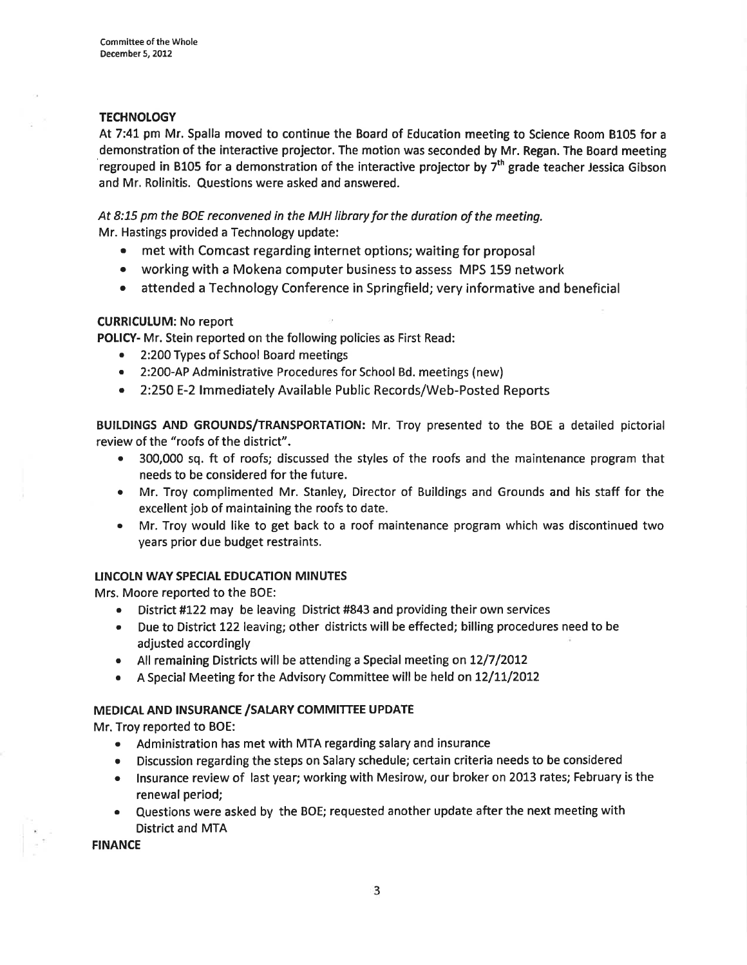#### **TECHNOLOGY**

At 7:41 pm Mr. Spalla moved to continue the Board of Education meeting to Science Room B105 for a demonstration of the interactive projector. The motion was seconded by Mr. Regan. The Board meeting 'regrouped in B105 for a demonstration of the interactive projector by  $7<sup>th</sup>$  grade teacher Jessica Gibson and Mr. Rolinitis. Questions were asked and answered.

At 8:75 pm the BOE reconvened in the MJH library for the duration of the meeting. Mr. Hastings provided a Technology update:

- met with Comcast regarding internet options; waiting for proposal
- . working with a Mokena computer business to assess MPS 159 network
- attended a Technology Conference in Springfield; very informative and beneficial

### **CURRICULUM: No report**

POLICY- Mr. Stein reported on the following policies as First Read:

- o 2:200 Types of School Board meetings
- c 2:20O-AP Administrative Procedures for School Bd. meetings (new)
- o 2:250 E-2 lmmediately Available Public Records/Web-Posted Reports

BUILDINGS AND GROUNDS/TRANSPORTATION: Mr. Troy presented to the BOE a detailed pictorial review of the "roofs of the district".

- 300,000 sq. ft of roofs; discussed the styles of the roofs and the maintenance program that needs to be considered for the future.
- o Mr. Troy complimented Mr. Stanley, Director of Buildings and Grounds and his staff for the excellent job of maintaining the roofs to date.
- Mr. Troy would like to get back to a roof maintenance program which was discontinued two years prior due budget restraints.

### LINCOLN WAY SPECIAL EDUCATION MINUTES

Mrs. Moore reported to the BOE:

- District #122 may be leaving District #843 and providing their own services
- Due to District 122 leaving; other districts will be effected; billing procedures need to be adjusted accordingly
- All remaining Districts will be attending a Special meeting on 12/7/2012
- A Special Meeting for the Advisory Committee will be held on 12/11/2012

### MEDICAL AND INSURANCE / SALARY COMMITTEE UPDATE

Mr. Troy reported to BOE:

- . Administration has met with MTA regarding salary and insurance
- Discussion regarding the steps on Salary schedule; certain criteria needs to be considered
- Insurance review of last year; working with Mesirow, our broker on 2013 rates; February is the renewal period;
- Questions were asked by the BOE; requested another update after the next meeting with District and MTA

**FINANCE**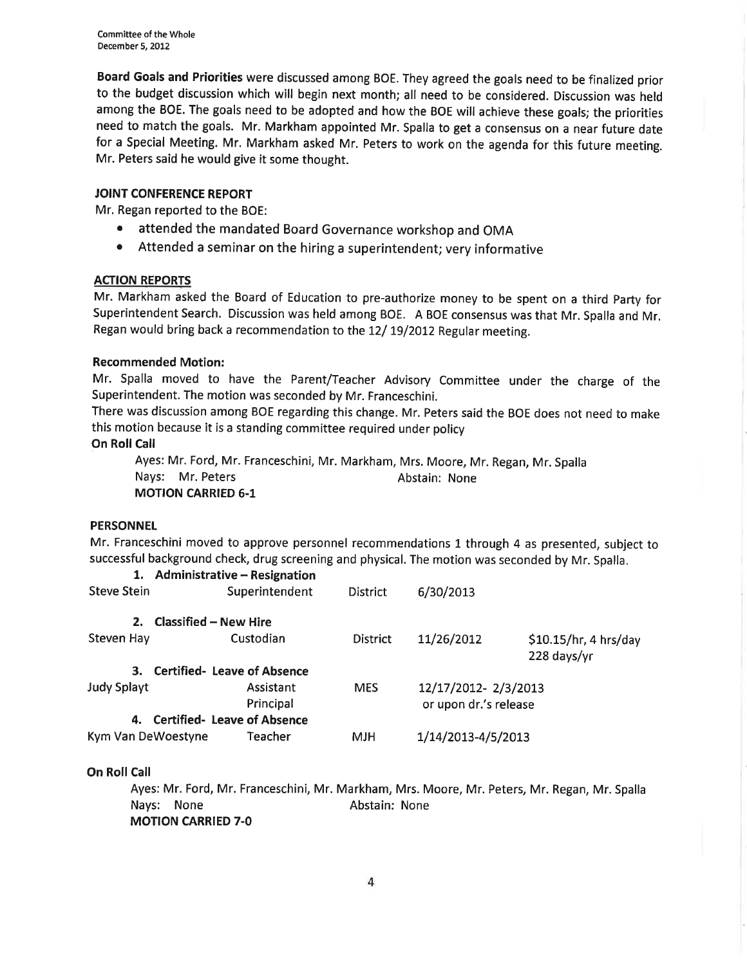Board Goals and Priorities were discussed among BOE. They agreed the goals need to be finalized prior to the budget discussion which will begin next month; all need to be considered. Discussion was held among the BOE. The goals need to be adopted and how the BOE will achieve these goals; the priorities need to match the goals. Mr. Markham appointed Mr. Spalla to get a consensus on a near future date for a Special Meeting. Mr. Markham asked Mr. Peters to work on the agenda for this future meeting. Mr. Peters said he would give it some thought.

### JOINT CONFERENCE REPORT

Mr. Regan reported to the BOE:

- o attended the mandated Board Governance workshop and OMA
- o Attended a seminar on the hiring a superintendent; very informative

## ACTION REPORTS

Mr. Markham asked the Board of Education to pre-authorize money to be spent on a third party for Superintendent Search. Discussion was held among BOE. A BOE consensus was that Mr. Spalla and Mr. Regan would bring back a recommendation to the 12/ 19/2012 Regular meeting.

## Recommended Motion:

Mr. Spalla moved to have the Parent/Teacher Advisory Committee under the charge of the Superintendent. The motion was seconded by Mr. Franceschini.

There was discussion among BOE regarding this change. Mr. Peters said the BOE does not need to make this motion because it is a standing committee required under policy

# **On Roll Call**

Ayes: Mr. Ford, Mr. Franceschini, Mr. Markham, Mrs. Moore, Mr. Regan, Mr. Spalla Nays: Mr. Peters **Abstain: None** MOTION CARRIED 6.1

### **PERSONNEL**

Mr. Franceschini moved to approve personnel recommendations 1 through 4 as presented, subject to successful background check, drug screening and physical. The motion was seconded by Mr. Spalla.

| 1.                 | <b>Administrative - Resignation</b> |                        |                 |                                              |                                      |
|--------------------|-------------------------------------|------------------------|-----------------|----------------------------------------------|--------------------------------------|
| <b>Steve Stein</b> |                                     | Superintendent         | <b>District</b> | 6/30/2013                                    |                                      |
| 2.                 | <b>Classified - New Hire</b>        |                        |                 |                                              |                                      |
| <b>Steven Hay</b>  |                                     | Custodian              | <b>District</b> | 11/26/2012                                   | \$10.15/hr, 4 hrs/day<br>228 days/yr |
| 3.                 | <b>Certified- Leave of Absence</b>  |                        |                 |                                              |                                      |
| <b>Judy Splayt</b> |                                     | Assistant<br>Principal | <b>MES</b>      | 12/17/2012-2/3/2013<br>or upon dr.'s release |                                      |
| 4.                 | <b>Certified- Leave of Absence</b>  |                        |                 |                                              |                                      |
| Kym Van DeWoestyne |                                     | Teacher                | <b>MJH</b>      | 1/14/2013-4/5/2013                           |                                      |

### On Roll Call

Ayes: Mr. Ford, Mr. Franceschini, Mr. Markham, Mrs. Moore, Mr. Peters, Mr. Regan, Mr. Spalla Nays: None **Abstain:** None MOTION CARRIED 7.0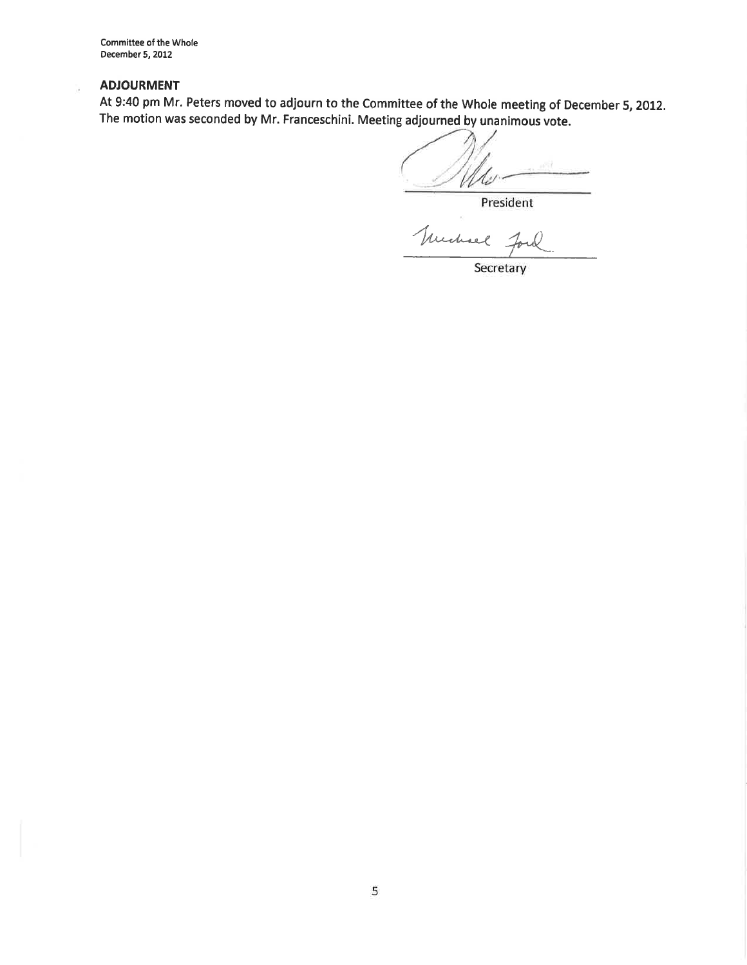Committee of the Whole December 5, 2012

#### ADJOURMENT

b.

At 9:40 pm Mr. Peters moved to adjourn to the Committee of the Whole meeting of December 5, 2012. The motion was seconded by Mr. Franceschini. Meeting adjourned by unanimous vote.

U

President

Truchael 70

Secretary